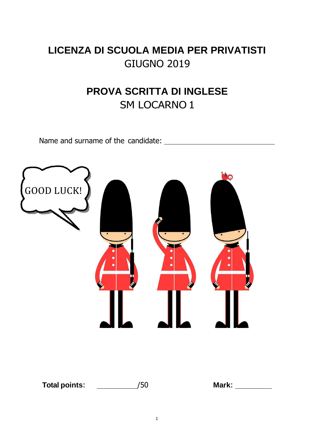# **LICENZA DI SCUOLA MEDIA PER PRIVATISTI**  GIUGNO 2019

# **PROVA SCRITTA DI INGLESE**  SM LOCARNO 1

Name and surname of the candidate:

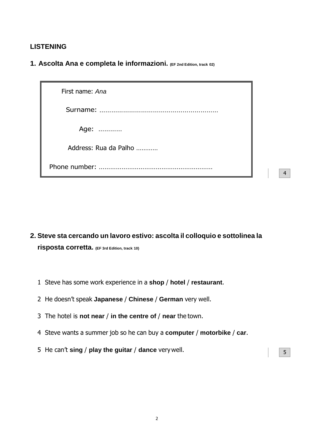### **LISTENING**

**1. Ascolta Ana e completa le informazioni. (EF 2nd Edition, track 02)**

| First name: Ana       |
|-----------------------|
|                       |
| Age:                  |
| Address: Rua da Palho |
|                       |

4

- **2. Steve sta cercando un lavoro estivo: ascolta il colloquio e sottolinea la risposta corretta. (EF 3rd Edition, track 10)**
	- 1 Steve has some work experience in a **shop** / **hotel** / **restaurant**.
	- 2 He doesn't speak **Japanese** / **Chinese** / **German** very well.
	- 3 The hotel is **not near** / **in the centre of** / **near** the town.
	- 4 Steve wants a summer job so he can buy a **computer** / **motorbike** / **car**.
	- 5 He can't **sing / play the guitar / dance** very well.  $\sqrt{5}$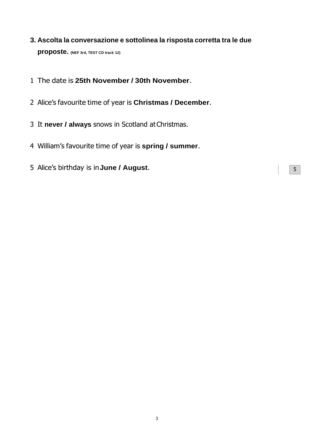- **3. Ascolta la conversazione e sottolinea la risposta corretta tra le due proposte. (NEF 3rd, TEST CD track 12)**
- The date is **25th November / 30th November**.
- Alice's favourite time of year is **Christmas / December**.
- It **never / always** snows in Scotland at Christmas.
- William's favourite time of year is **spring / summer**.
- Alice's birthday is in **June / August**. <sup>5</sup>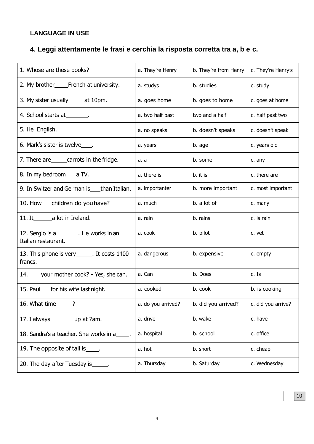## **LANGUAGE IN USE**

## **4. Leggi attentamente le frasi e cerchia la risposta corretta tra a, b e c.**

| 1. Whose are these books?                                       | a. They're Henry   | b. They're from Henry | c. They're Henry's |  |
|-----------------------------------------------------------------|--------------------|-----------------------|--------------------|--|
|                                                                 | a. studys          | b. studies            | c. study           |  |
| 3. My sister usually_______at 10pm.                             | a. goes home       | b. goes to home       | c. goes at home    |  |
| 4. School starts at ________.                                   | a. two half past   | two and a half        | c. half past two   |  |
| 5. He English.                                                  | a. no speaks       | b. doesn't speaks     | c. doesn't speak   |  |
| 6. Mark's sister is twelve____.                                 | a. years           | b. age                | c. years old       |  |
| 7. There are carrots in the fridge.                             | а. а               | b. some               | c. any             |  |
| 8. In my bedroom_____a TV.                                      | a. there is        | b. it is              | c. there are       |  |
| 9. In Switzerland German is than Italian.                       | a. importanter     | b. more important     | c. most important  |  |
| 10. How ___ children do you have?                               | a. much            | b. a lot of           | c. many            |  |
| 11. It____________a lot in Ireland.                             | a. rain            | b. rains              | c. is rain         |  |
| 12. Sergio is a ________. He works in an<br>Italian restaurant. | a. cook            | b. pilot              | c. vet             |  |
| 13. This phone is very______. It costs 1400<br>francs.          | a. dangerous       | b. expensive          | c. empty           |  |
| 14. your mother cook? - Yes, she can.                           | a. Can             | b. Does               | c. Is              |  |
| 15. Paul for his wife last night.                               | a. cooked          | b. cook               | b. is cooking      |  |
| 16. What time______?                                            | a. do you arrived? | b. did you arrived?   | c. did you arrive? |  |
| 17. I always ________ up at 7am.                                | a. drive           | b. wake               | c. have            |  |
| 18. Sandra's a teacher. She works in a                          | a. hospital        | b. school             | c. office          |  |
| 19. The opposite of tall is .                                   | a. hot             | b. short              | c. cheap           |  |
| 20. The day after Tuesday is ______.                            | a. Thursday        | b. Saturday           | c. Wednesday       |  |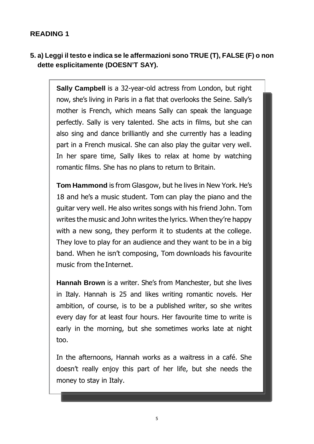## **READING 1**

## **5. a) Leggi il testo e indica se le affermazioni sono TRUE (T), FALSE (F) o non dette esplicitamente (DOESN'T SAY).**

**Sally Campbell** is a 32-year-old actress from London, but right now, she's living in Paris in a flat that overlooks the Seine. Sally's mother is French, which means Sally can speak the language perfectly. Sally is very talented. She acts in films, but she can also sing and dance brilliantly and she currently has a leading part in a French musical. She can also play the guitar very well. In her spare time, Sally likes to relax at home by watching romantic films. She has no plans to return to Britain.

**Tom Hammond** is from Glasgow, but he lives in New York. He's 18 and he's a music student. Tom can play the piano and the guitar very well. He also writes songs with his friend John. Tom writes the music and John writes the lyrics. When they're happy with a new song, they perform it to students at the college. They love to play for an audience and they want to be in a big band. When he isn't composing, Tom downloads his favourite music from the Internet.

**Hannah Brown** is a writer. She's from Manchester, but she lives in Italy. Hannah is 25 and likes writing romantic novels. Her ambition, of course, is to be a published writer, so she writes every day for at least four hours. Her favourite time to write is early in the morning, but she sometimes works late at night too.

In the afternoons, Hannah works as a waitress in a café. She doesn't really enjoy this part of her life, but she needs the money to stay in Italy.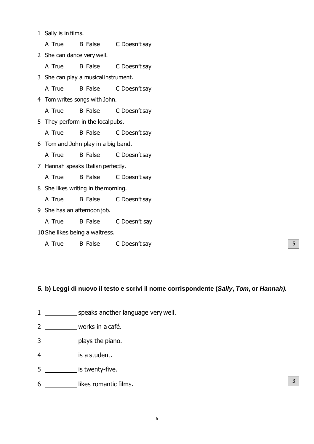1 Sally is in films.

A True B False C Doesn't say

2 She can dance very well.

A True B False C Doesn't say

3 She can play a musical instrument.

A True B False C Doesn't say

4 Tom writes songs with John.

A True B False C Doesn't say

5 They perform in the local pubs.

A True B False C Doesn't say

6 Tom and John play in a big band.

A True B False C Doesn't say

7 Hannah speaks Italian perfectly.

A True B False C Doesn't say

8 She likes writing in the morning.

A True B False C Doesn't say

9 She has an afternoon job.

A True B False C Doesn't say

10 She likes being a waitress.

A True B False C Doesn't say

### **5. b) Leggi di nuovo il testo e scrivi il nome corrispondente (Sally, Tom, or Hannah).**

5

- 1 speaks another language very well.
- 2 \_\_\_\_\_\_\_\_\_\_ works in a café.
- 3 plays the piano.
- 4 is a student.
- 5 \_\_\_\_\_\_\_\_\_\_ is twenty-five.
- 6 likes romantic films.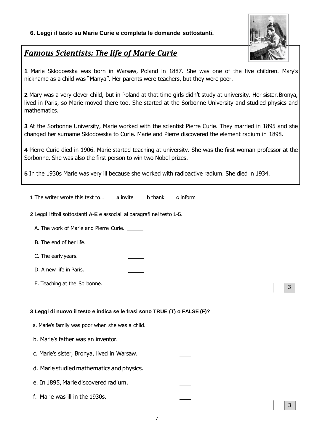#### **6. Leggi il testo su Marie Curie e completa le domande sottostanti.**



3

## *Famous Scientists: The life of Marie Curie*

**1** Marie Sklodowska was born in Warsaw, Poland in 1887. She was one of the five children. Mary's nickname as a child was "Manya". Her parents were teachers, but they were poor.

**2** Mary was a very clever child, but in Poland at that time girls didn't study at university. Her sister, Bronya, lived in Paris, so Marie moved there too. She started at the Sorbonne University and studied physics and mathematics.

**3** At the Sorbonne University, Marie worked with the scientist Pierre Curie. They married in 1895 and she changed her surname Sklodowska to Curie. Marie and Pierre discovered the element radium in 1898.

**4** Pierre Curie died in 1906. Marie started teaching at university. She was the first woman professor at the Sorbonne. She was also the first person to win two Nobel prizes.

**5** In the 1930s Marie was very ill because she worked with radioactive radium. She died in 1934.

| <b>1</b> The writer wrote this text to                                    | a invite | <b>b</b> thank | c inform |
|---------------------------------------------------------------------------|----------|----------------|----------|
| 2 Leggi i titoli sottostanti A-E e associali ai paragrafi nel testo 1-5.  |          |                |          |
| A. The work of Marie and Pierre Curie. ______                             |          |                |          |
| B. The end of her life.                                                   |          |                |          |
| C. The early years.                                                       |          |                |          |
| D. A new life in Paris.                                                   |          |                |          |
| E. Teaching at the Sorbonne.                                              |          |                | 3        |
|                                                                           |          |                |          |
| 3 Leggi di nuovo il testo e indica se le frasi sono TRUE (T) o FALSE (F)? |          |                |          |
| a. Marie's family was poor when she was a child.                          |          |                |          |
| b. Marie's father was an inventor.                                        |          |                |          |
| c. Marie's sister, Bronya, lived in Warsaw.                               |          |                |          |
| d. Marie studied mathematics and physics.                                 |          |                |          |
| e. In 1895, Marie discovered radium.                                      |          |                |          |
| f. Marie was ill in the 1930s.                                            |          |                |          |